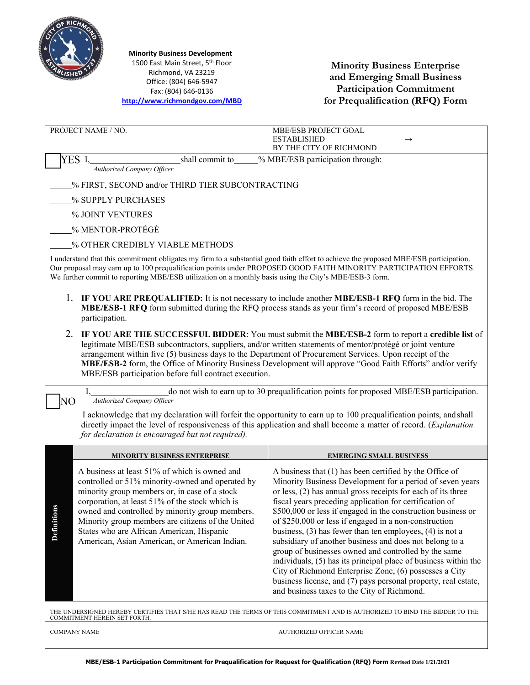

1500 East Main Street, 5<sup>th</sup> Floor  **Minority Business Development**

Richmond, VA 23219 Office: (804) 646-5947 Fax: (804) 646-0136 Fax: (804) 646-0136 Fax: (804) 646-0136**<http://www.richmondgov.com/MBD>**

**Minority Business Enterprise and Emerging Small Business Participation Commitment for Prequalification (RFQ) Form**

|                                                                                                                                                                                                                                                                                                                                                                      | PROJECT NAME / NO.                                                                                                                                                                                                                                                                                                                                                                                          | MBE/ESB PROJECT GOAL                                                                                                                                                                                                                                                                                                                                                                                                                                                                                                                                                                                                                                                                                                                                                                                      |  |
|----------------------------------------------------------------------------------------------------------------------------------------------------------------------------------------------------------------------------------------------------------------------------------------------------------------------------------------------------------------------|-------------------------------------------------------------------------------------------------------------------------------------------------------------------------------------------------------------------------------------------------------------------------------------------------------------------------------------------------------------------------------------------------------------|-----------------------------------------------------------------------------------------------------------------------------------------------------------------------------------------------------------------------------------------------------------------------------------------------------------------------------------------------------------------------------------------------------------------------------------------------------------------------------------------------------------------------------------------------------------------------------------------------------------------------------------------------------------------------------------------------------------------------------------------------------------------------------------------------------------|--|
|                                                                                                                                                                                                                                                                                                                                                                      |                                                                                                                                                                                                                                                                                                                                                                                                             | <b>ESTABLISHED</b><br>BY THE CITY OF RICHMOND                                                                                                                                                                                                                                                                                                                                                                                                                                                                                                                                                                                                                                                                                                                                                             |  |
|                                                                                                                                                                                                                                                                                                                                                                      | YES I.<br>shall commit to                                                                                                                                                                                                                                                                                                                                                                                   | % MBE/ESB participation through:                                                                                                                                                                                                                                                                                                                                                                                                                                                                                                                                                                                                                                                                                                                                                                          |  |
| <b>Authorized Company Officer</b>                                                                                                                                                                                                                                                                                                                                    |                                                                                                                                                                                                                                                                                                                                                                                                             |                                                                                                                                                                                                                                                                                                                                                                                                                                                                                                                                                                                                                                                                                                                                                                                                           |  |
| % FIRST, SECOND and/or THIRD TIER SUBCONTRACTING                                                                                                                                                                                                                                                                                                                     |                                                                                                                                                                                                                                                                                                                                                                                                             |                                                                                                                                                                                                                                                                                                                                                                                                                                                                                                                                                                                                                                                                                                                                                                                                           |  |
| % SUPPLY PURCHASES                                                                                                                                                                                                                                                                                                                                                   |                                                                                                                                                                                                                                                                                                                                                                                                             |                                                                                                                                                                                                                                                                                                                                                                                                                                                                                                                                                                                                                                                                                                                                                                                                           |  |
|                                                                                                                                                                                                                                                                                                                                                                      | % JOINT VENTURES                                                                                                                                                                                                                                                                                                                                                                                            |                                                                                                                                                                                                                                                                                                                                                                                                                                                                                                                                                                                                                                                                                                                                                                                                           |  |
| % MENTOR-PROTÉGÉ                                                                                                                                                                                                                                                                                                                                                     |                                                                                                                                                                                                                                                                                                                                                                                                             |                                                                                                                                                                                                                                                                                                                                                                                                                                                                                                                                                                                                                                                                                                                                                                                                           |  |
| % OTHER CREDIBLY VIABLE METHODS                                                                                                                                                                                                                                                                                                                                      |                                                                                                                                                                                                                                                                                                                                                                                                             |                                                                                                                                                                                                                                                                                                                                                                                                                                                                                                                                                                                                                                                                                                                                                                                                           |  |
| I understand that this commitment obligates my firm to a substantial good faith effort to achieve the proposed MBE/ESB participation.<br>Our proposal may earn up to 100 prequalification points under PROPOSED GOOD FAITH MINORITY PARTICIPATION EFFORTS.<br>We further commit to reporting MBE/ESB utilization on a monthly basis using the City's MBE/ESB-3 form. |                                                                                                                                                                                                                                                                                                                                                                                                             |                                                                                                                                                                                                                                                                                                                                                                                                                                                                                                                                                                                                                                                                                                                                                                                                           |  |
| IF YOU ARE PREQUALIFIED: It is not necessary to include another MBE/ESB-1 RFQ form in the bid. The<br>MBE/ESB-1 RFQ form submitted during the RFQ process stands as your firm's record of proposed MBE/ESB<br>participation.                                                                                                                                         |                                                                                                                                                                                                                                                                                                                                                                                                             |                                                                                                                                                                                                                                                                                                                                                                                                                                                                                                                                                                                                                                                                                                                                                                                                           |  |
| 2.                                                                                                                                                                                                                                                                                                                                                                   | arrangement within five (5) business days to the Department of Procurement Services. Upon receipt of the<br>MBE/ESB participation before full contract execution.                                                                                                                                                                                                                                           | IF YOU ARE THE SUCCESSFUL BIDDER: You must submit the MBE/ESB-2 form to report a credible list of<br>legitimate MBE/ESB subcontractors, suppliers, and/or written statements of mentor/protégé or joint venture<br>MBE/ESB-2 form, the Office of Minority Business Development will approve "Good Faith Efforts" and/or verify                                                                                                                                                                                                                                                                                                                                                                                                                                                                            |  |
|                                                                                                                                                                                                                                                                                                                                                                      |                                                                                                                                                                                                                                                                                                                                                                                                             |                                                                                                                                                                                                                                                                                                                                                                                                                                                                                                                                                                                                                                                                                                                                                                                                           |  |
|                                                                                                                                                                                                                                                                                                                                                                      |                                                                                                                                                                                                                                                                                                                                                                                                             | do not wish to earn up to 30 prequalification points for proposed MBE/ESB participation.                                                                                                                                                                                                                                                                                                                                                                                                                                                                                                                                                                                                                                                                                                                  |  |
| NΟ                                                                                                                                                                                                                                                                                                                                                                   | Authorized Company Officer<br>for declaration is encouraged but not required).                                                                                                                                                                                                                                                                                                                              | I acknowledge that my declaration will forfeit the opportunity to earn up to 100 prequalification points, and shall<br>directly impact the level of responsiveness of this application and shall become a matter of record. (Explanation                                                                                                                                                                                                                                                                                                                                                                                                                                                                                                                                                                  |  |
|                                                                                                                                                                                                                                                                                                                                                                      | <b>MINORITY BUSINESS ENTERPRISE</b>                                                                                                                                                                                                                                                                                                                                                                         | <b>EMERGING SMALL BUSINESS</b>                                                                                                                                                                                                                                                                                                                                                                                                                                                                                                                                                                                                                                                                                                                                                                            |  |
| Definition                                                                                                                                                                                                                                                                                                                                                           | A business at least 51% of which is owned and<br>controlled or 51% minority-owned and operated by<br>minority group members or, in case of a stock<br>corporation, at least 51% of the stock which is<br>owned and controlled by minority group members.<br>Minority group members are citizens of the United<br>States who are African American, Hispanic<br>American, Asian American, or American Indian. | A business that (1) has been certified by the Office of<br>Minority Business Development for a period of seven years<br>or less, (2) has annual gross receipts for each of its three<br>fiscal years preceding application for certification of<br>\$500,000 or less if engaged in the construction business or<br>of \$250,000 or less if engaged in a non-construction<br>business, $(3)$ has fewer than ten employees, $(4)$ is not a<br>subsidiary of another business and does not belong to a<br>group of businesses owned and controlled by the same<br>individuals, (5) has its principal place of business within the<br>City of Richmond Enterprise Zone, (6) possesses a City<br>business license, and (7) pays personal property, real estate,<br>and business taxes to the City of Richmond. |  |
|                                                                                                                                                                                                                                                                                                                                                                      | COMMITMENT HEREIN SET FORTH.                                                                                                                                                                                                                                                                                                                                                                                | THE UNDERSIGNED HEREBY CERTIFIES THAT S/HE HAS READ THE TERMS OF THIS COMMITMENT AND IS AUTHORIZED TO BIND THE BIDDER TO THE                                                                                                                                                                                                                                                                                                                                                                                                                                                                                                                                                                                                                                                                              |  |